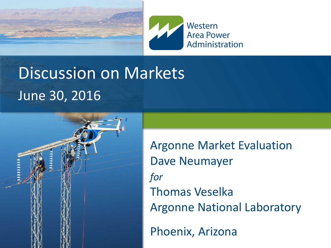



# Discussion on Markets June 30, 2016



Phoenix, Arizona Argonne Market Evaluation Dave Neumayer *for* Thomas Veselka Argonne National Laboratory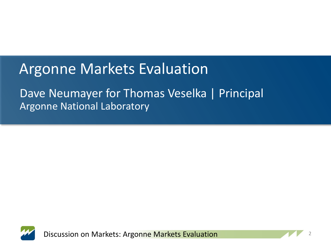#### Argonne Markets Evaluation

#### Dave Neumayer for Thomas Veselka | Principal Argonne National Laboratory



Discussion on Markets: Argonne Markets Evaluation

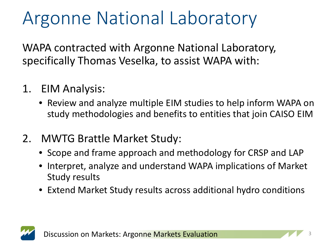# Argonne National Laboratory

WAPA contracted with Argonne National Laboratory, specifically Thomas Veselka, to assist WAPA with:

- 1. EIM Analysis:
	- Review and analyze multiple EIM studies to help inform WAPA on study methodologies and benefits to entities that join CAISO EIM
- 2. MWTG Brattle Market Study:
	- Scope and frame approach and methodology for CRSP and LAP
	- Interpret, analyze and understand WAPA implications of Market Study results
	- Extend Market Study results across additional hydro conditions

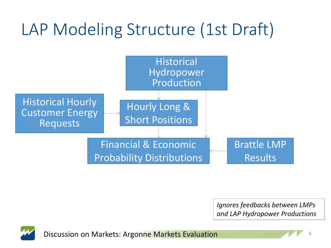# LAP Modeling Structure (1st Draft)



*Ignores feedbacks between LMPs and LAP Hydropower Productions*



Discussion on Markets: Argonne Markets Evaluation

4